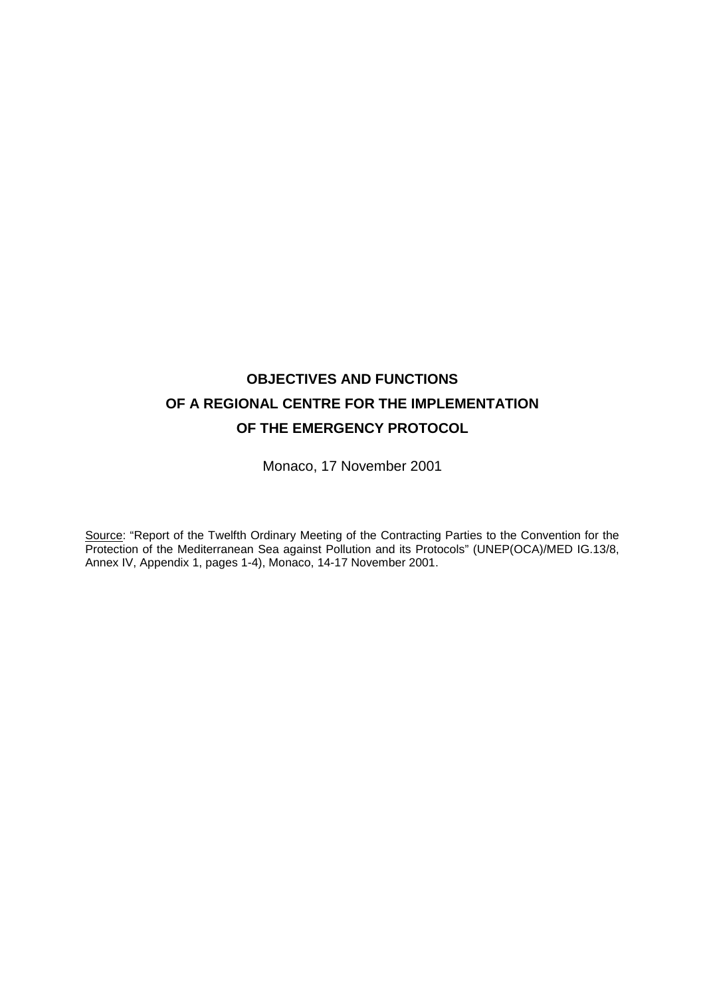# **OBJECTIVES AND FUNCTIONS OF A REGIONAL CENTRE FOR THE IMPLEMENTATION OF THE EMERGENCY PROTOCOL**

Monaco, 17 November 2001

Source: "Report of the Twelfth Ordinary Meeting of the Contracting Parties to the Convention for the Protection of the Mediterranean Sea against Pollution and its Protocols" (UNEP(OCA)/MED IG.13/8, Annex IV, Appendix 1, pages 1-4), Monaco, 14-17 November 2001.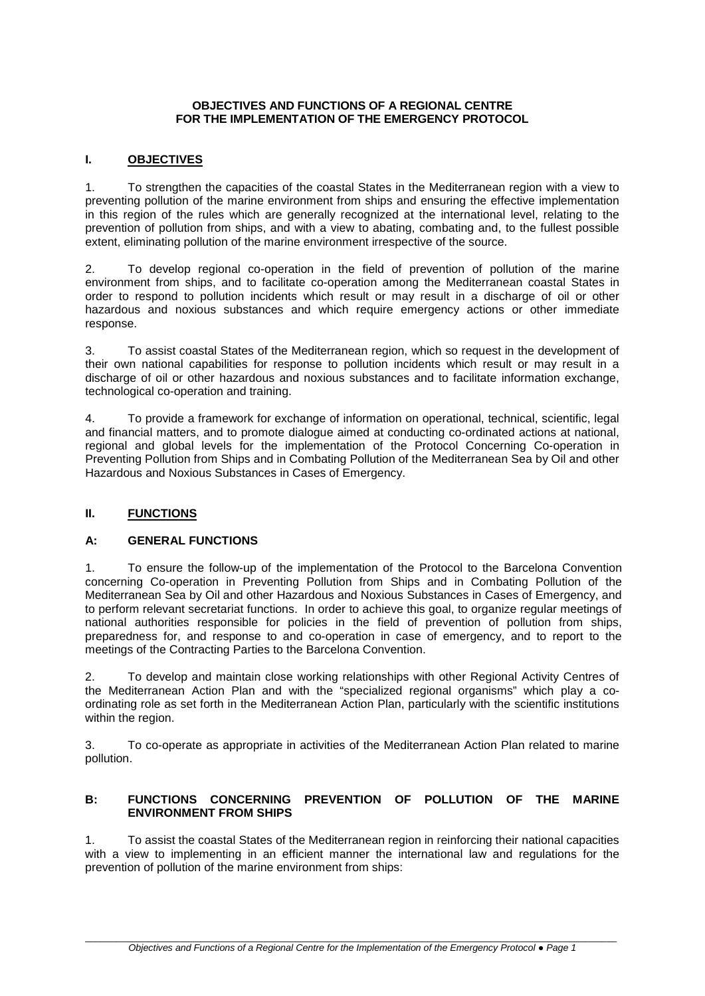#### **OBJECTIVES AND FUNCTIONS OF A REGIONAL CENTRE FOR THE IMPLEMENTATION OF THE EMERGENCY PROTOCOL**

## **I. OBJECTIVES**

1. To strengthen the capacities of the coastal States in the Mediterranean region with a view to preventing pollution of the marine environment from ships and ensuring the effective implementation in this region of the rules which are generally recognized at the international level, relating to the prevention of pollution from ships, and with a view to abating, combating and, to the fullest possible extent, eliminating pollution of the marine environment irrespective of the source.

2. To develop regional co-operation in the field of prevention of pollution of the marine environment from ships, and to facilitate co-operation among the Mediterranean coastal States in order to respond to pollution incidents which result or may result in a discharge of oil or other hazardous and noxious substances and which require emergency actions or other immediate response.

3. To assist coastal States of the Mediterranean region, which so request in the development of their own national capabilities for response to pollution incidents which result or may result in a discharge of oil or other hazardous and noxious substances and to facilitate information exchange, technological co-operation and training.

4. To provide a framework for exchange of information on operational, technical, scientific, legal and financial matters, and to promote dialogue aimed at conducting co-ordinated actions at national, regional and global levels for the implementation of the Protocol Concerning Co-operation in Preventing Pollution from Ships and in Combating Pollution of the Mediterranean Sea by Oil and other Hazardous and Noxious Substances in Cases of Emergency.

### **II. FUNCTIONS**

### **A: GENERAL FUNCTIONS**

1. To ensure the follow-up of the implementation of the Protocol to the Barcelona Convention concerning Co-operation in Preventing Pollution from Ships and in Combating Pollution of the Mediterranean Sea by Oil and other Hazardous and Noxious Substances in Cases of Emergency, and to perform relevant secretariat functions. In order to achieve this goal, to organize regular meetings of national authorities responsible for policies in the field of prevention of pollution from ships, preparedness for, and response to and co-operation in case of emergency, and to report to the meetings of the Contracting Parties to the Barcelona Convention.

2. To develop and maintain close working relationships with other Regional Activity Centres of the Mediterranean Action Plan and with the "specialized regional organisms" which play a coordinating role as set forth in the Mediterranean Action Plan, particularly with the scientific institutions within the region.

3. To co-operate as appropriate in activities of the Mediterranean Action Plan related to marine pollution.

### **B: FUNCTIONS CONCERNING PREVENTION OF POLLUTION OF THE MARINE ENVIRONMENT FROM SHIPS**

1. To assist the coastal States of the Mediterranean region in reinforcing their national capacities with a view to implementing in an efficient manner the international law and regulations for the prevention of pollution of the marine environment from ships: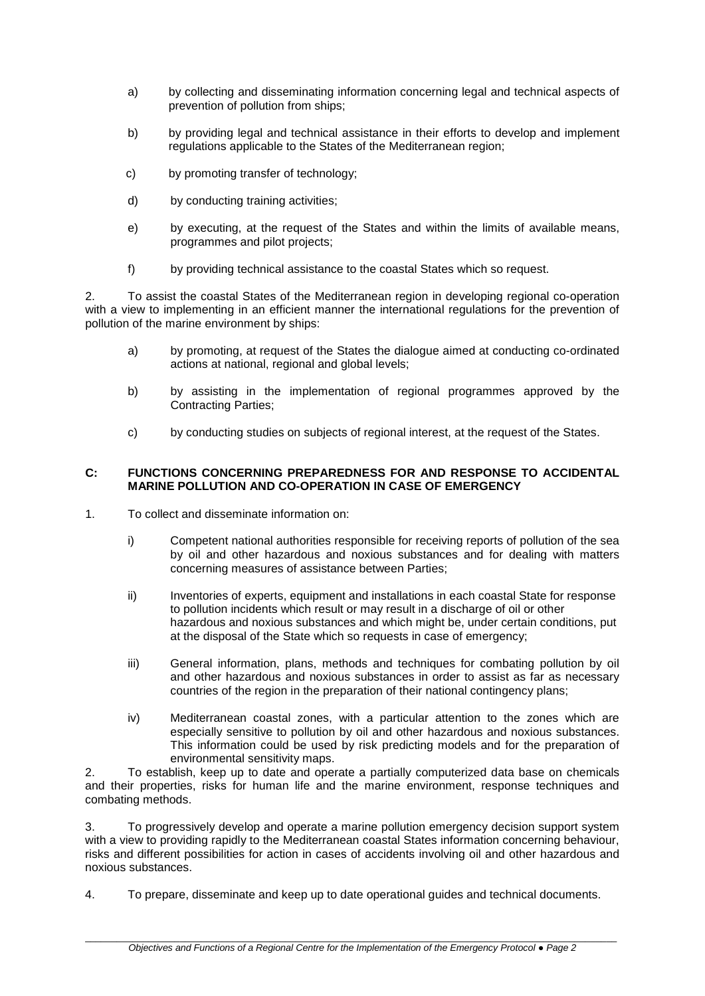- a) by collecting and disseminating information concerning legal and technical aspects of prevention of pollution from ships;
- b) by providing legal and technical assistance in their efforts to develop and implement regulations applicable to the States of the Mediterranean region;
- c) by promoting transfer of technology;
- d) by conducting training activities;
- e) by executing, at the request of the States and within the limits of available means, programmes and pilot projects;
- f) by providing technical assistance to the coastal States which so request.

2. To assist the coastal States of the Mediterranean region in developing regional co-operation with a view to implementing in an efficient manner the international regulations for the prevention of pollution of the marine environment by ships:

- a) by promoting, at request of the States the dialogue aimed at conducting co-ordinated actions at national, regional and global levels;
- b) by assisting in the implementation of regional programmes approved by the Contracting Parties;
- c) by conducting studies on subjects of regional interest, at the request of the States.

### **C: FUNCTIONS CONCERNING PREPAREDNESS FOR AND RESPONSE TO ACCIDENTAL MARINE POLLUTION AND CO-OPERATION IN CASE OF EMERGENCY**

- 1. To collect and disseminate information on:
	- i) Competent national authorities responsible for receiving reports of pollution of the sea by oil and other hazardous and noxious substances and for dealing with matters concerning measures of assistance between Parties;
	- ii) Inventories of experts, equipment and installations in each coastal State for response to pollution incidents which result or may result in a discharge of oil or other hazardous and noxious substances and which might be, under certain conditions, put at the disposal of the State which so requests in case of emergency;
	- iii) General information, plans, methods and techniques for combating pollution by oil and other hazardous and noxious substances in order to assist as far as necessary countries of the region in the preparation of their national contingency plans;
	- iv) Mediterranean coastal zones, with a particular attention to the zones which are especially sensitive to pollution by oil and other hazardous and noxious substances. This information could be used by risk predicting models and for the preparation of environmental sensitivity maps.

2. To establish, keep up to date and operate a partially computerized data base on chemicals and their properties, risks for human life and the marine environment, response techniques and combating methods.

3. To progressively develop and operate a marine pollution emergency decision support system with a view to providing rapidly to the Mediterranean coastal States information concerning behaviour, risks and different possibilities for action in cases of accidents involving oil and other hazardous and noxious substances.

4. To prepare, disseminate and keep up to date operational guides and technical documents.